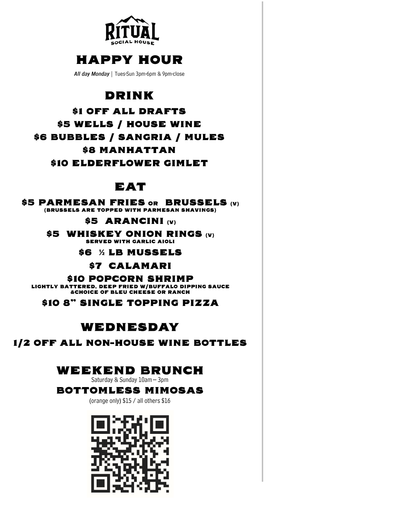

## **HAPPY HOUR**

All day Monday | Tues-Sun 3pm-6pm & 9pm-close

### **DRINK**

**\$1 OFF ALL DRAFTS** \$5 WELLS / HOUSE WINE \$6 BUBBLES / SANGRIA / MULES **\$8 MANHATTAN** \$10 ELDERFLOWER GIMLET

### EAT

\$5 PARMESAN FRIES OR BRUSSELS (V) (BRUSSELS ARE TOPPED WITH PARMESAN SHAVINGS)

\$5 ARANCINI (v)

\$5 WHISKEY ONION RINGS (V) **SERVED WITH GARLIC AIOLI** 

**S6 % LB MUSSELS** 

\$7 CALAMARI

\$10 POPCORN SHRIMP LIGHTLY BATTERED, DEEP FRIED W/BUFFALO DIPPING SAUCE **&CHOICE OF BLEU CHEESE OR RANCH** 

\$10 8" SINGLE TOPPING PIZZA

### WEDNESDAY

#### 1/2 OFF ALL NON-HOUSE WINE BOTTLES

### **WEEKEND BRUNCH**

Saturday & Sunday 10am - 3pm

#### **BOTTOMLESS MIMOSAS**

(orange only) \$15 / all others \$16

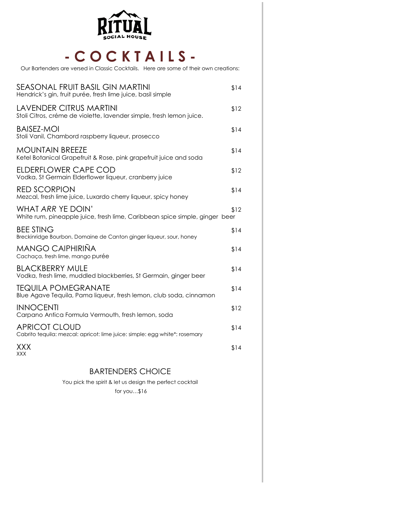

## **- C O C K T A I L S -**

Our Bartenders are versed in Classic Cocktails. Here are some of their own creations:

| SEASONAL FRUIT BASIL GIN MARTINI<br>Hendrick's gin, fruit purée, fresh lime juice, basil simple        | \$14 |
|--------------------------------------------------------------------------------------------------------|------|
| <b>LAVENDER CITRUS MARTINI</b><br>Stoli Citros, créme de violette, lavender simple, fresh lemon juice. | \$12 |
| BAISEZ-MOI<br>Stoli Vanil, Chambord raspberry liqueur, prosecco                                        | \$14 |
| <b>MOUNTAIN BREEZE</b><br>Ketel Botanical Grapefruit & Rose, pink grapefruit juice and soda            | \$14 |
| ELDERFLOWER CAPE COD<br>Vodka, St Germain Elderflower liqueur, cranberry juice                         | \$12 |
| <b>RED SCORPION</b><br>Mezcal, fresh lime juice, Luxardo cherry liqueur, spicy honey                   | \$14 |
| WHAT ARR YE DOIN'<br>White rum, pineapple juice, fresh lime, Caribbean spice simple, ginger beer       | \$12 |
| <b>BEE STING</b><br>Breckinridge Bourbon, Domaine de Canton ginger liqueur, sour, honey                | \$14 |
| MANGO CAIPHIRIÑA<br>Cachaça, fresh lime, mango purée                                                   | \$14 |
| <b>BLACKBERRY MULE</b><br>Vodka, fresh lime, muddled blackberries, St Germain, ginger beer             | \$14 |
| TEQUILA POMEGRANATE<br>Blue Agave Tequila, Pama liqueur, fresh lemon, club soda, cinnamon              | \$14 |
| <b>INNOCENTI</b><br>Carpano Antica Formula Vermouth, fresh lemon, soda                                 | \$12 |
| <b>APRICOT CLOUD</b><br>Cabrito tequila: mezcal: apricot: lime juice: simple: egg white*: rosemary     | \$14 |
| XXX<br><b>XXX</b>                                                                                      | \$14 |
|                                                                                                        |      |

#### BARTENDERS CHOICE

You pick the spirit & let us design the perfect cocktail for you…\$16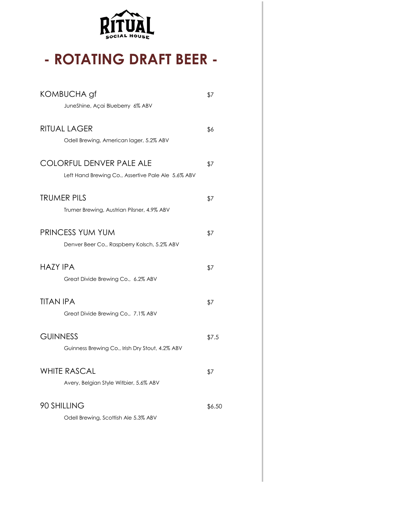

# **- ROTATING DRAFT BEER -**

| KOMBUCHA gf<br>JuneShine, Açai Blueberry 6% ABV                                       | \$7    |
|---------------------------------------------------------------------------------------|--------|
| <b>RITUAL LAGER</b><br>Odell Brewing, American lager, 5.2% ABV                        | \$6    |
| <b>COLORFUL DENVER PALE ALE</b><br>Left Hand Brewing Co., Assertive Pale Ale 5.6% ABV | \$7    |
| <b>TRUMER PILS</b><br>Trumer Brewing, Austrian Pilsner, 4.9% ABV                      | \$7    |
| <b>PRINCESS YUM YUM</b><br>Denver Beer Co., Raspberry Kolsch, 5.2% ABV                | \$7    |
| <b>HAZY IPA</b><br>Great Divide Brewing Co., 6.2% ABV                                 | \$7    |
| <b>TITAN IPA</b><br>Great Divide Brewing Co., 7.1% ABV                                | \$7    |
| <b>GUINNESS</b><br>Guinness Brewing Co., Irish Dry Stout, 4.2% ABV                    | \$7.5  |
| <b>WHITE RASCAL</b><br>Avery, Belgian Style Witbier, 5.6% ABV                         | \$7    |
| 90 SHILLING<br>Odell Brewing, Scottish Ale 5.3% ABV                                   | \$6.50 |
|                                                                                       |        |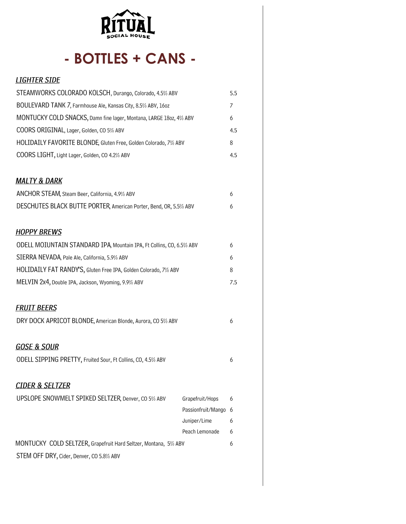

# - BOTTLES + CANS -

| <b>LIGHTER SIDE</b>                                                                                         |                    |     |
|-------------------------------------------------------------------------------------------------------------|--------------------|-----|
| STEAMWORKS COLORADO KOLSCH, Durango, Colorado, 4.5% ABV                                                     |                    | 5.5 |
| BOULEVARD TANK 7, Farmhouse Ale, Kansas City, 8.5% ABV, 160z                                                |                    | 7   |
| MONTUCKY COLD SNACKS, Damn fine lager, Montana, LARGE 180z, 4% ABV                                          |                    | 6   |
| COORS ORIGINAL, Lager, Golden, CO 5% ABV                                                                    |                    | 4.5 |
| HOLIDAILY FAVORITE BLONDE, Gluten Free, Golden Colorado, 7% ABV                                             |                    | 8   |
| COORS LIGHT, Light Lager, Golden, CO 4.2% ABV                                                               |                    | 4.5 |
| <u>MALTY &amp; DARK</u>                                                                                     |                    |     |
| ANCHOR STEAM, Steam Beer, California, 4.9% ABV                                                              |                    | 6   |
| DESCHUTES BLACK BUTTE PORTER, American Porter, Bend, OR, 5.5% ABV                                           |                    | 6   |
| <b>HOPPY BREWS</b>                                                                                          |                    |     |
| ODELL MOIUNTAIN STANDARD IPA, Mountain IPA, Ft Collins, CO, 6.5% ABV                                        |                    | 6   |
| SIERRA NEVADA, Pale Ale, California, 5.9% ABV                                                               |                    | 6   |
| HOLIDAILY FAT RANDY'S, Gluten Free IPA, Golden Colorado, 7% ABV                                             |                    | 8   |
| MELVIN 2x4, Double IPA, Jackson, Wyoming, 9.9% ABV                                                          |                    | 7.5 |
| <b>FRUIT BEERS</b>                                                                                          |                    |     |
| DRY DOCK APRICOT BLONDE, American Blonde, Aurora, CO 5% ABV                                                 |                    | 6   |
| <b>GOSE &amp; SOUR</b>                                                                                      |                    |     |
| ODELL SIPPING PRETTY, Fruited Sour, Ft Collins, CO, 4.5% ABV                                                |                    | 6   |
| <u>CIDER &amp; SELTZER</u>                                                                                  |                    |     |
| UPSLOPE SNOWMELT SPIKED SELTZER, Denver, CO 5% ABV                                                          | Grapefruit/Hops    | 6   |
|                                                                                                             | Passionfruit/Mango | 6   |
|                                                                                                             | Juniper/Lime       | 6   |
|                                                                                                             | Peach Lemonade     | 6   |
| MONTUCKY COLD SELTZER, Grapefruit Hard Seltzer, Montana, 5% ABV<br>STEM OFF DRY, Cider, Denver, CO 5.8% ABV |                    | 6   |
|                                                                                                             |                    |     |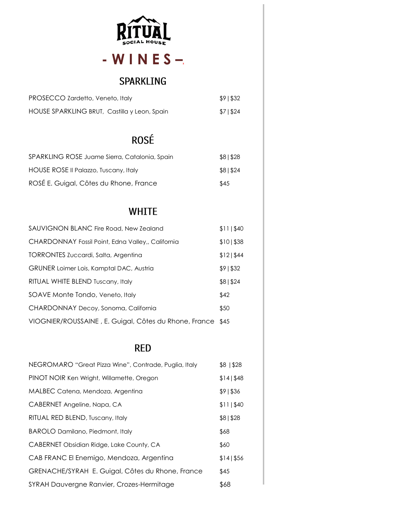

## $-WINES-$

### SPARKLING

| PROSECCO Zardetto, Veneto, Italy             | \$91\$32 |
|----------------------------------------------|----------|
| HOUSE SPARKLING BRUT, Castilla y Leon, Spain | \$7 \$24 |

## ROSÉ

| SPARKLING ROSE Juame Sierra, Catalonia, Spain | \$8 \$28 |
|-----------------------------------------------|----------|
| HOUSE ROSE II Palazzo, Tuscany, Italy         | \$81\$24 |
| ROSÉ E. Guigal, Côtes du Rhone, France        | \$45     |

### **WHITE**

| SAUVIGNON BLANC Fire Road, New Zealand                     | \$11   \$40 |
|------------------------------------------------------------|-------------|
| CHARDONNAY Fossil Point, Edna Valley,, California          | \$10  \$38  |
| TORRONTES Zuccardi, Salta, Argentina                       | \$12 \$44   |
| <b>GRUNER Loimer Lois, Kamptal DAC, Austria</b>            | \$9 \$32    |
| RITUAL WHITE BLEND Tuscany, Italy                          | \$8 \$24    |
| SOAVE Monte Tondo, Veneto, Italy                           | \$42        |
| CHARDONNAY Decoy, Sonoma, California                       | \$50        |
| VIOGNIER/ROUSSAINE, E. Guigal, Côtes du Rhone, France \$45 |             |

### **RED**

| NEGROMARO "Great Pizza Wine", Contrade, Puglia, Italy | \$8 1528    |
|-------------------------------------------------------|-------------|
| PINOT NOIR Ken Wright, Willamette, Oregon             | \$14 \$48   |
| MALBEC Catena, Mendoza, Argentina                     | \$9 \$36    |
| CABERNET Angeline, Napa, CA                           | \$11   \$40 |
| RITUAL RED BLEND, Tuscany, Italy                      | \$8 \$28    |
| BAROLO Damilano, Piedmont, Italy                      | \$68        |
| CABERNET Obsidian Ridge, Lake County, CA              | \$60        |
| CAB FRANC El Enemigo, Mendoza, Argentina              | \$14 \$56   |
| GRENACHE/SYRAH E. Guigal, Côtes du Rhone, France      | \$45        |
| SYRAH Dauvergne Ranvier, Crozes-Hermitage             | \$68        |